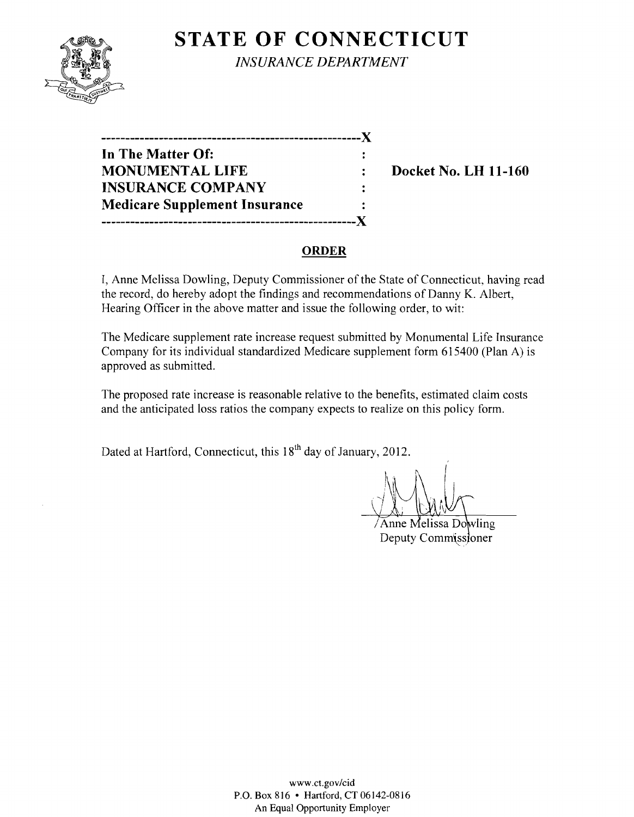

**STATE OF CONNECTICUT** *INSURANCE DEPARTMENT* 

| -----------                          |  |
|--------------------------------------|--|
| In The Matter Of:                    |  |
| <b>MONUMENTAL LIFE</b>               |  |
| <b>INSURANCE COMPANY</b>             |  |
| <b>Medicare Supplement Insurance</b> |  |
|                                      |  |

**Docket No. LH 11-160** 

# **ORDER**

I, Anne Melissa Dowling, Deputy Commissioner of the State of Connecticut, having read the record, do hereby adopt the findings and recommendations of Danny K. Albert, Hearing Officer in the above matter and issue the following order, to wit:

The Medicare supplement rate increase request submitted by Monumental Life Insurance Company for its individual standardized Medicare supplement form 615400 (Plan A) is approved as submitted.

The proposed rate increase is reasonable relative to the benefits, estimated claim costs and the anticipated loss ratios the company expects to realize on this policy form.

Dated at Hartford, Connecticut, this 18<sup>th</sup> day of January, 2012.

Anne Melissa Dowling Deputy Commissioner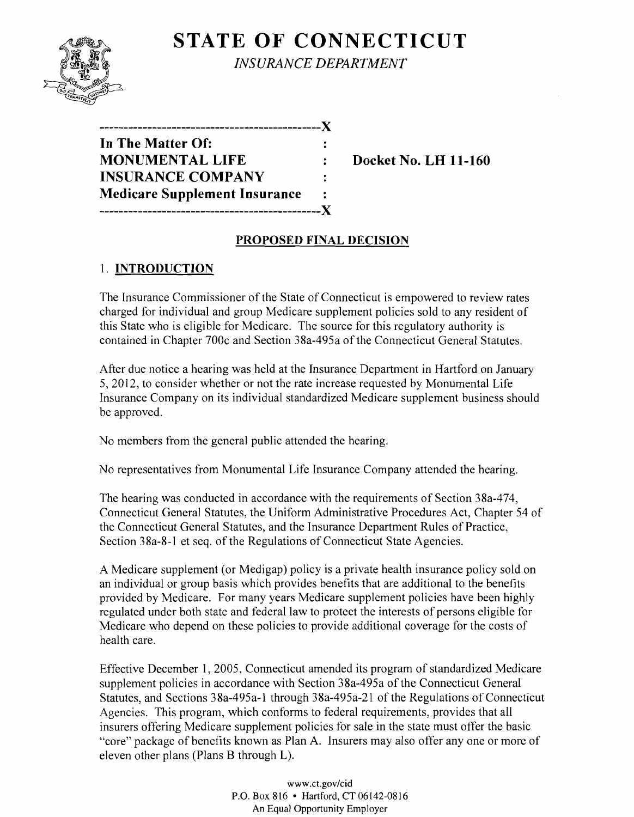# **STATE OF CONNECTICUT**



*INSURANCE DEPARTMENT* 

| ----------------------------X        |   |
|--------------------------------------|---|
| In The Matter Of:                    |   |
| <b>MONUMENTAL LIFE</b>               |   |
| <b>INSURANCE COMPANY</b>             | ÷ |
| <b>Medicare Supplement Insurance</b> | ÷ |
| ------------------------------X      |   |

**WEDOCKET NO. LH 11-160** 

## **PROPOSED FINAL DECISION**

# 1. **INTRODUCTION**

The Insurance Commissioner of the State of Connecticut is empowered to review rates charged for individual and group Medicare supplement policies sold to any resident of this State who is eligible for Medicare. The source for this regulatory authority is contained in Chapter 700c and Section 38a-495a of the Connecticut General Statutes.

After due notice a hearing was held at the Insurance Department in Hartford on January 5,2012, to consider whether or not the rate increase requested by Monumental Life Insurance Company on its individual standardized Medicare supplement business should be approved.

No members from the general public attended the hearing.

No representatives from Monumental Life Insurance Company attended the hearing.

The hearing was conducted in accordance with the requirements of Section 38a-474, Connecticut General Statutes, the Uniform Administrative Procedures Act, Chapter 54 of the Connecticut General Statutes, and the Insurance Department Rules of Practice, Section 38a-8-l et seq. of the Regulations of Connecticut State Agencies.

A Medicare supplement (or Medigap) policy is a private health insurance policy sold on an individual or group basis which provides benefits that are additional to the benefits provided by Medicare. For many years Medicare supplement policies have been highly regulated under both state and federal law to protect the interests of persons eligible for Medicare who depend on these policies to provide additional coverage for the costs of health care.

Effective December 1, 2005, Connecticut amended its program of standardized Medicare supplement policies in accordance with Section 38a-495a of the Connecticut General Statutes, and Sections 38a-495a-1 through 38a-495a-21 of the Regulations of Connecticut Agencies. This program, which conforms to federal requirements, provides that all insurers offering Medicare supplement policies for sale in the state must offer the basic "core" package of benefits known as Plan A. Insurers may also offer anyone or more of eleven other plans (Plans B through L).

> www.ct.gov/cid P.O. Box 816 • Hartford, CT 06142-0816 An Equal Opportunity Employer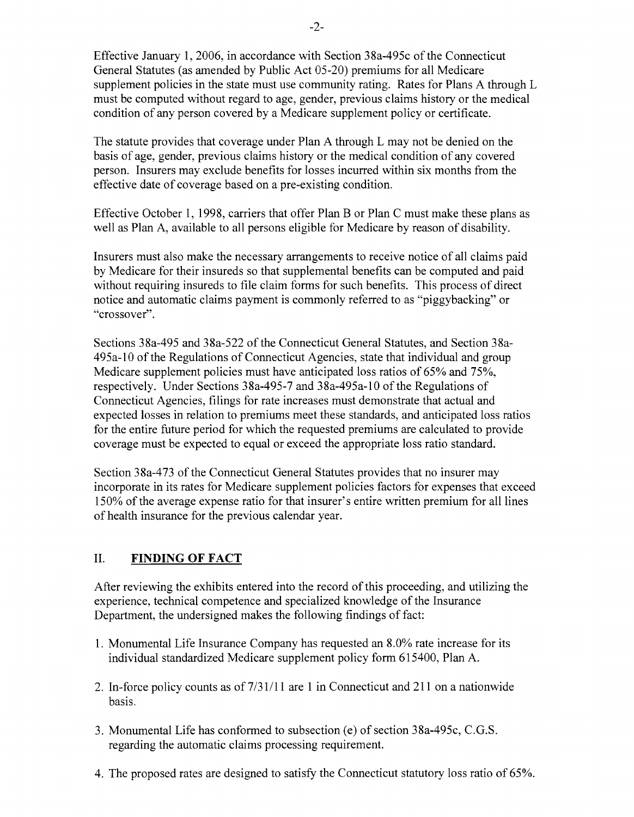Effective January 1,2006, in accordance with Section 38a-495c ofthe Connecticut General Statutes (as amended by Public Act 05-20) premiums for all Medicare supplement policies in the state must use community rating. Rates for Plans A through L must be computed without regard to age, gender, previous claims history or the medical condition of any person covered by a Medicare supplement policy or certificate.

The statute provides that coverage under Plan A through L may not be denied on the basis of age, gender, previous claims history or the medical condition of any covered person. Insurers may exclude benefits for losses incurred within six months from the effective date of coverage based on a pre-existing condition.

Effective October 1, 1998, carriers that offer Plan B or Plan C must make these plans as well as Plan A, available to all persons eligible for Medicare by reason of disability.

Insurers must also make the necessary arrangements to receive notice of all claims paid by Medicare for their insureds so that supplemental benefits can be computed and paid without requiring insureds to file claim forms for such benefits. This process of direct notice and automatic claims payment is commonly referred to as "piggybacking" or "crossover".

Sections 38a-495 and 38a-522 of the Connecticut General Statutes, and Section 38a-495a-l0 of the Regulations of Connecticut Agencies, state that individual and group Medicare supplement policies must have anticipated loss ratios of 65% and 75%, respectively. Under Sections 38a-495-7 and 38a-495a-l0 of the Regulations of Connecticut Agencies, filings for rate increases must demonstrate that actual and expected losses in relation to premiums meet these standards, and anticipated loss ratios for the entire future period for which the requested premiums are calculated to provide coverage must be expected to equal or exceed the appropriate loss ratio standard.

Section 38a-473 of the Connecticut General Statutes provides that no insurer may incorporate in its rates for Medicare supplement policies factors for expenses that exceed 150% of the average expense ratio for that insurer's entire written premium for all lines of health insurance for the previous calendar year.

## II. **FINDING OF FACT**

After reviewing the exhibits entered into the record of this proceeding, and utilizing the experience, technical competence and specialized knowledge of the Insurance Department, the undersigned makes the following findings of fact:

- 1. Monumental Life Insurance Company has requested an 8.0% rate increase for its individual standardized Medicare supplement policy form 615400, Plan A.
- 2. In-force policy counts as of  $7/31/11$  are 1 in Connecticut and 211 on a nationwide basis.
- 3. Monumental Life has conformed to subsection (e) of section 38a-495c, C.G.S. regarding the automatic claims processing requirement.
- 4. The proposed rates are designed to satisfy the Connecticut statutory loss ratio of 65%.